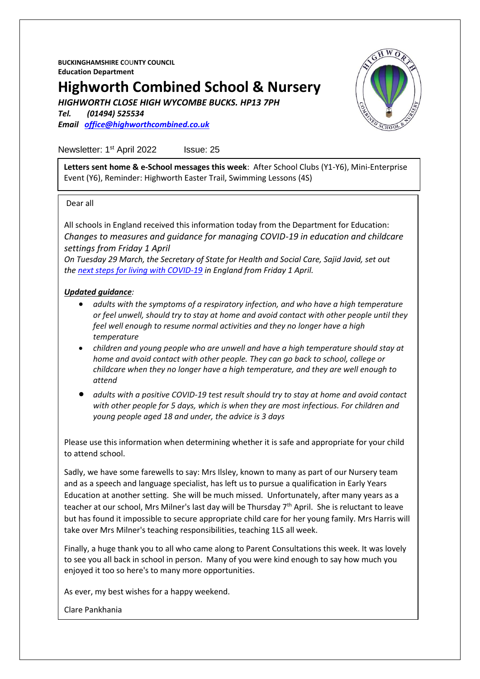**BUCKINGHAMSHIRE C**OU**NTY COUNCIL Education Department**

# **Highworth Combined School & Nursery**

*HIGHWORTH CLOSE HIGH WYCOMBE BUCKS. HP13 7PH*

*Tel. (01494) 525534 Email [office@highworthcombined.co.uk](mailto:office@highworthcombined.co.uk)*



Newsletter: 1<sup>st</sup> April 2022 Issue: 25

**Letters sent home & e-School messages this week**: After School Clubs (Y1-Y6), Mini-Enterprise Event (Y6), Reminder: Highworth Easter Trail, Swimming Lessons (4S)

#### Dear all

All schools in England received this information today from the Department for Education: *Changes to measures and guidance for managing COVID-19 in education and childcare settings from Friday 1 April*

*On Tuesday 29 March, the Secretary of State for Health and Social Care, Sajid Javid, set out the [next steps for living with COVID-19](https://urlsand.esvalabs.com/?u=https%3A%2F%2Fwww.gov.uk%2Fgovernment%2Fnews%2Fgovernment-sets-out-next-steps-for-living-with-covid%3Futm_source%3D31%2520March%25202022%2520C19%26utm_medium%3DDaily%2520Email%2520C19%26utm_campaign%3DDfE%2520C19&e=c4825e48&h=97010307&f=y&p=y) in England from Friday 1 April.*

#### *Updated guidance:*

- *adults with the symptoms of a respiratory infection, and who have a high temperature or feel unwell, should try to stay at home and avoid contact with other people until they feel well enough to resume normal activities and they no longer have a high temperature*
- *children and young people who are unwell and have a high temperature should stay at home and avoid contact with other people. They can go back to school, college or childcare when they no longer have a high temperature, and they are well enough to attend*
- *adults with a positive COVID-19 test result should try to stay at home and avoid contact with other people for 5 days, which is when they are most infectious. For children and young people aged 18 and under, the advice is 3 days*

Please use this information when determining whether it is safe and appropriate for your child to attend school.

Sadly, we have some farewells to say: Mrs Ilsley, known to many as part of our Nursery team and as a speech and language specialist, has left us to pursue a qualification in Early Years Education at another setting. She will be much missed. Unfortunately, after many years as a teacher at our school, Mrs Milner's last day will be Thursday  $7<sup>th</sup>$  April. She is reluctant to leave but has found it impossible to secure appropriate child care for her young family. Mrs Harris will take over Mrs Milner's teaching responsibilities, teaching 1LS all week.

Finally, a huge thank you to all who came along to Parent Consultations this week. It was lovely to see you all back in school in person. Many of you were kind enough to say how much you enjoyed it too so here's to many more opportunities.

As ever, my best wishes for a happy weekend.

Clare Pankhania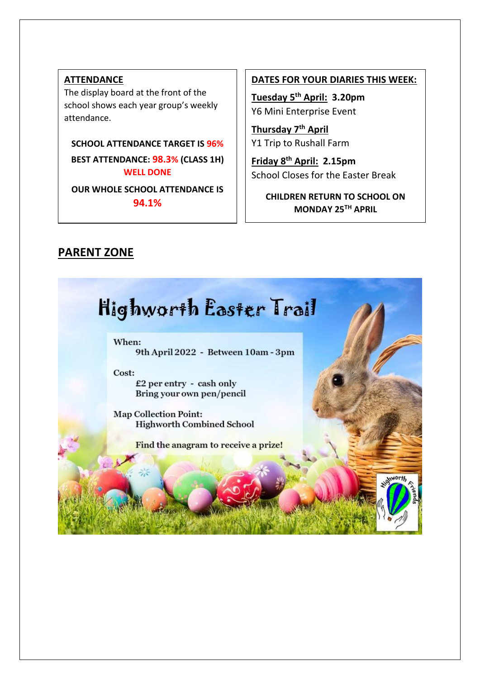## **ATTENDANCE**

The display board at the front of the school shows each year group's weekly attendance.

**SCHOOL ATTENDANCE TARGET IS 96%**

**BEST ATTENDANCE: 98.3% (CLASS 1H) WELL DONE**

**OUR WHOLE SCHOOL ATTENDANCE IS 94.1%**

### **DATES FOR YOUR DIARIES THIS WEEK:**

**Tuesday 5th April: 3.20pm** Y6 Mini Enterprise Event

**Thursday 7th April** Y1 Trip to Rushall Farm

**Friday 8th April: 2.15pm**  School Closes for the Easter Break

**CHILDREN RETURN TO SCHOOL ON MONDAY 25TH APRIL**

# **PARENT ZONE**